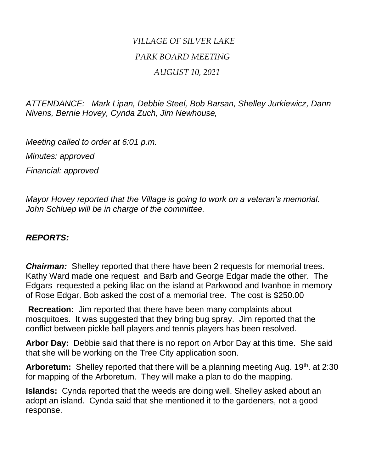## *VILLAGE OF SILVER LAKE PARK BOARD MEETING AUGUST 10, 2021*

*ATTENDANCE: Mark Lipan, Debbie Steel, Bob Barsan, Shelley Jurkiewicz, Dann Nivens, Bernie Hovey, Cynda Zuch, Jim Newhouse,* 

*Meeting called to order at 6:01 p.m. Minutes: approved Financial: approved*

*Mayor Hovey reported that the Village is going to work on a veteran's memorial. John Schluep will be in charge of the committee.* 

## *REPORTS:*

*Chairman:* Shelley reported that there have been 2 requests for memorial trees. Kathy Ward made one request and Barb and George Edgar made the other. The Edgars requested a peking lilac on the island at Parkwood and Ivanhoe in memory of Rose Edgar. Bob asked the cost of a memorial tree. The cost is \$250.00

**Recreation:** Jim reported that there have been many complaints about mosquitoes. It was suggested that they bring bug spray. Jim reported that the conflict between pickle ball players and tennis players has been resolved.

**Arbor Day:** Debbie said that there is no report on Arbor Day at this time. She said that she will be working on the Tree City application soon.

**Arboretum:** Shelley reported that there will be a planning meeting Aug. 19<sup>th</sup>. at 2:30 for mapping of the Arboretum. They will make a plan to do the mapping.

**Islands:** Cynda reported that the weeds are doing well. Shelley asked about an adopt an island. Cynda said that she mentioned it to the gardeners, not a good response.